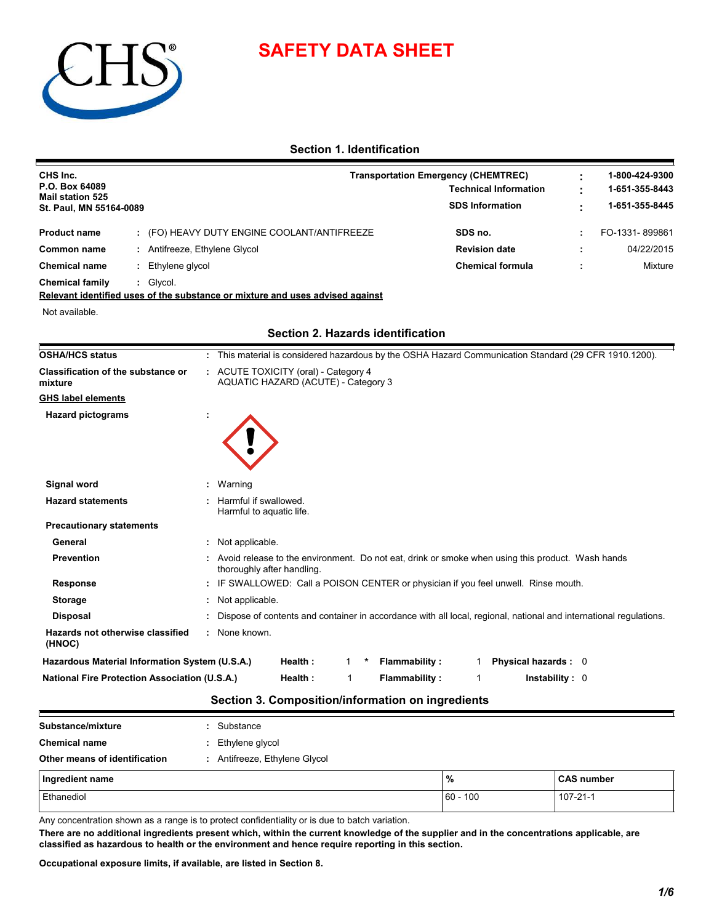

# **SAFETY DATA SHEET**

# **Section 1. Identification**

| CHS Inc.<br>P.O. Box 64089<br><b>Mail station 525</b><br>St. Paul, MN 55164-0089 |  |                                           | Transportation Emergency (CHEMTREC)<br><b>Technical Information</b><br><b>SDS Information</b> |  |                |
|----------------------------------------------------------------------------------|--|-------------------------------------------|-----------------------------------------------------------------------------------------------|--|----------------|
| <b>Product name</b>                                                              |  | (FO) HEAVY DUTY ENGINE COOLANT/ANTIFREEZE | SDS no.                                                                                       |  | FO-1331-899861 |
| Common name                                                                      |  | Antifreeze, Ethylene Glycol               | <b>Revision date</b>                                                                          |  | 04/22/2015     |
| <b>Chemical name</b>                                                             |  | Ethylene glycol                           | <b>Chemical formula</b>                                                                       |  | Mixture        |
| <b>Chemical family</b>                                                           |  | Glycol.                                   |                                                                                               |  |                |

**Relevant identified uses of the substance or mixture and uses advised against**

Not available.

| <b>OSHA/HCS status</b>                               | : This material is considered hazardous by the OSHA Hazard Communication Standard (29 CFR 1910.1200).                          |  |
|------------------------------------------------------|--------------------------------------------------------------------------------------------------------------------------------|--|
| <b>Classification of the substance or</b><br>mixture | : ACUTE TOXICITY (oral) - Category 4<br>AQUATIC HAZARD (ACUTE) - Category 3                                                    |  |
| <b>GHS label elements</b>                            |                                                                                                                                |  |
| <b>Hazard pictograms</b>                             |                                                                                                                                |  |
|                                                      |                                                                                                                                |  |
|                                                      |                                                                                                                                |  |
| Signal word                                          | : Warning                                                                                                                      |  |
| <b>Hazard statements</b>                             | Harmful if swallowed.<br>Harmful to aquatic life.                                                                              |  |
| <b>Precautionary statements</b>                      |                                                                                                                                |  |
| General                                              | : Not applicable.                                                                                                              |  |
| <b>Prevention</b>                                    | Avoid release to the environment. Do not eat, drink or smoke when using this product. Wash hands<br>thoroughly after handling. |  |
| <b>Response</b>                                      | IF SWALLOWED: Call a POISON CENTER or physician if you feel unwell. Rinse mouth.                                               |  |
| <b>Storage</b>                                       | : Not applicable.                                                                                                              |  |
| <b>Disposal</b>                                      | : Dispose of contents and container in accordance with all local, regional, national and international regulations.            |  |
| Hazards not otherwise classified<br>(HNOC)           | : None known.                                                                                                                  |  |
| Hazardous Material Information System (U.S.A.)       | Health:<br>Flammability:<br>Physical hazards : 0                                                                               |  |
| <b>National Fire Protection Association (U.S.A.)</b> | Health:<br><b>Flammability:</b><br>In stability: 0                                                                             |  |
|                                                      |                                                                                                                                |  |

## **Section 2. Hazards identification**

# **Section 3. Composition/information on ingredients**

| Substance/mixture             |  | : Substance                   |              |                   |  |  |  |
|-------------------------------|--|-------------------------------|--------------|-------------------|--|--|--|
| <b>Chemical name</b>          |  | : Ethylene glycol             |              |                   |  |  |  |
| Other means of identification |  | : Antifreeze, Ethylene Glycol |              |                   |  |  |  |
| Ingredient name               |  |                               | %            | <b>CAS number</b> |  |  |  |
| Ethanediol                    |  |                               | $ 60 - 100 $ | 107-21-1          |  |  |  |

Any concentration shown as a range is to protect confidentiality or is due to batch variation.

**There are no additional ingredients present which, within the current knowledge of the supplier and in the concentrations applicable, are classified as hazardous to health or the environment and hence require reporting in this section.**

**Occupational exposure limits, if available, are listed in Section 8.**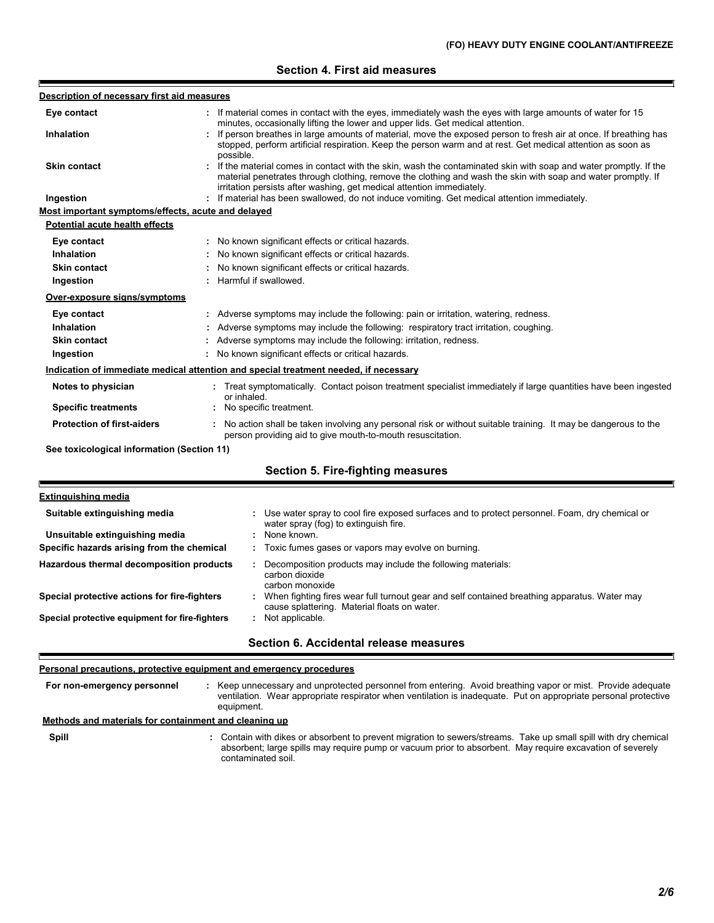## **Section 4. First aid measures**

| Description of necessary first aid measures        |                                                                                                                                                                                                                                                                                                                       |  |  |  |  |
|----------------------------------------------------|-----------------------------------------------------------------------------------------------------------------------------------------------------------------------------------------------------------------------------------------------------------------------------------------------------------------------|--|--|--|--|
| Eye contact                                        | If material comes in contact with the eyes, immediately wash the eyes with large amounts of water for 15<br>minutes, occasionally lifting the lower and upper lids. Get medical attention.                                                                                                                            |  |  |  |  |
| <b>Inhalation</b>                                  | : If person breathes in large amounts of material, move the exposed person to fresh air at once. If breathing has<br>stopped, perform artificial respiration. Keep the person warm and at rest. Get medical attention as soon as                                                                                      |  |  |  |  |
| Skin contact                                       | possible.<br>If the material comes in contact with the skin, wash the contaminated skin with soap and water promptly. If the<br>material penetrates through clothing, remove the clothing and wash the skin with soap and water promptly. If<br>irritation persists after washing, get medical attention immediately. |  |  |  |  |
| Ingestion                                          | : If material has been swallowed, do not induce vomiting. Get medical attention immediately.                                                                                                                                                                                                                          |  |  |  |  |
| Most important symptoms/effects, acute and delayed |                                                                                                                                                                                                                                                                                                                       |  |  |  |  |
| <b>Potential acute health effects</b>              |                                                                                                                                                                                                                                                                                                                       |  |  |  |  |
| Eye contact                                        | : No known significant effects or critical hazards.                                                                                                                                                                                                                                                                   |  |  |  |  |
| Inhalation                                         | No known significant effects or critical hazards.                                                                                                                                                                                                                                                                     |  |  |  |  |
| <b>Skin contact</b>                                | No known significant effects or critical hazards.                                                                                                                                                                                                                                                                     |  |  |  |  |
| Ingestion                                          | Harmful if swallowed.                                                                                                                                                                                                                                                                                                 |  |  |  |  |
| Over-exposure signs/symptoms                       |                                                                                                                                                                                                                                                                                                                       |  |  |  |  |
| Eye contact                                        | : Adverse symptoms may include the following: pain or irritation, watering, redness.                                                                                                                                                                                                                                  |  |  |  |  |
| Inhalation                                         | : Adverse symptoms may include the following: respiratory tract irritation, coughing.                                                                                                                                                                                                                                 |  |  |  |  |
| <b>Skin contact</b>                                | Adverse symptoms may include the following: irritation, redness.                                                                                                                                                                                                                                                      |  |  |  |  |
| Ingestion                                          | : No known significant effects or critical hazards.                                                                                                                                                                                                                                                                   |  |  |  |  |
|                                                    | Indication of immediate medical attention and special treatment needed, if necessary                                                                                                                                                                                                                                  |  |  |  |  |
| Notes to physician                                 | Treat symptomatically. Contact poison treatment specialist immediately if large quantities have been ingested<br>or inhaled.                                                                                                                                                                                          |  |  |  |  |
| <b>Specific treatments</b>                         | No specific treatment.                                                                                                                                                                                                                                                                                                |  |  |  |  |
| <b>Protection of first-aiders</b>                  | : No action shall be taken involving any personal risk or without suitable training. It may be dangerous to the<br>person providing aid to give mouth-to-mouth resuscitation.                                                                                                                                         |  |  |  |  |
| See toxicological information (Section 11)         |                                                                                                                                                                                                                                                                                                                       |  |  |  |  |
|                                                    | <b>Section 5. Fire-fighting measures</b>                                                                                                                                                                                                                                                                              |  |  |  |  |
| <b>Extinguishing media</b>                         |                                                                                                                                                                                                                                                                                                                       |  |  |  |  |
| Suitable extinguishing media                       | : Use water spray to cool fire exposed surfaces and to protect personnel. Foam, dry chemical or<br>water spray (fog) to extinguish fire.                                                                                                                                                                              |  |  |  |  |
| Unsuitable extinguishing media                     | : None known.                                                                                                                                                                                                                                                                                                         |  |  |  |  |

| Specific hazards arising from the chemical     | Toxic fumes gases or vapors may evolve on burning.                                                                                           |
|------------------------------------------------|----------------------------------------------------------------------------------------------------------------------------------------------|
| Hazardous thermal decomposition products       | Decomposition products may include the following materials:<br>carbon dioxide<br>carbon monoxide                                             |
| Special protective actions for fire-fighters   | When fighting fires wear full turnout gear and self contained breathing apparatus. Water may<br>cause splattering. Material floats on water. |
| Special protective equipment for fire-fighters | Not applicable.                                                                                                                              |

**:**

#### **Section 6. Accidental release measures**

#### **Personal precautions, protective equipment and emergency procedures**

**:** Keep unnecessary and unprotected personnel from entering. Avoid breathing vapor or mist. Provide adequate ventilation. Wear appropriate respirator when ventilation is inadequate. Put on appropriate personal protective equipment. **For non-emergency personnel**

## **: Methods and materials for containment and cleaning up**

**Spill**

F

Contain with dikes or absorbent to prevent migration to sewers/streams. Take up small spill with dry chemical absorbent; large spills may require pump or vacuum prior to absorbent. May require excavation of severely contaminated soil.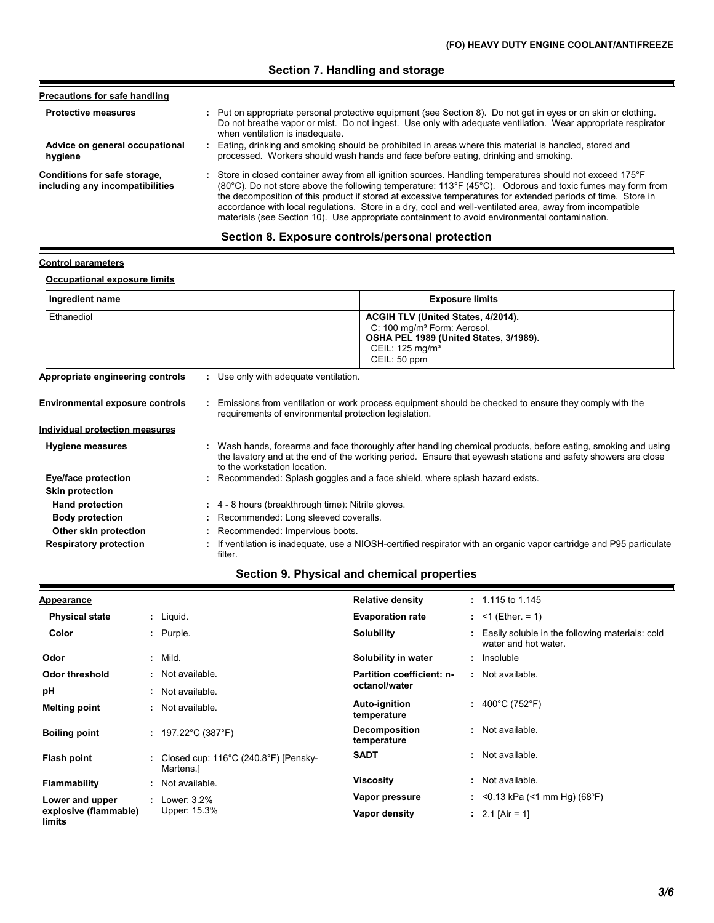# **Section 7. Handling and storage**

| <b>Precautions for safe handling</b>                            |                                                                                                                                                                                                                                                                                                                                                                                                                                                                                                                                                               |
|-----------------------------------------------------------------|---------------------------------------------------------------------------------------------------------------------------------------------------------------------------------------------------------------------------------------------------------------------------------------------------------------------------------------------------------------------------------------------------------------------------------------------------------------------------------------------------------------------------------------------------------------|
| <b>Protective measures</b>                                      | : Put on appropriate personal protective equipment (see Section 8). Do not get in eyes or on skin or clothing.<br>Do not breathe vapor or mist. Do not ingest. Use only with adequate ventilation. Wear appropriate respirator<br>when ventilation is inadequate.                                                                                                                                                                                                                                                                                             |
| Advice on general occupational<br>hygiene                       | : Eating, drinking and smoking should be prohibited in areas where this material is handled, stored and<br>processed. Workers should wash hands and face before eating, drinking and smoking.                                                                                                                                                                                                                                                                                                                                                                 |
| Conditions for safe storage,<br>including any incompatibilities | : Store in closed container away from all ignition sources. Handling temperatures should not exceed 175°F<br>$(80^{\circ}C)$ . Do not store above the following temperature: 113°F (45°C). Odorous and toxic fumes may form from<br>the decomposition of this product if stored at excessive temperatures for extended periods of time. Store in<br>accordance with local regulations. Store in a dry, cool and well-ventilated area, away from incompatible<br>materials (see Section 10). Use appropriate containment to avoid environmental contamination. |

# **Section 8. Exposure controls/personal protection**

## **Control parameters**

E

Е

## **Occupational exposure limits**

| Ingredient name                        | <b>Exposure limits</b>                                                                                                                                                                                                                                        |
|----------------------------------------|---------------------------------------------------------------------------------------------------------------------------------------------------------------------------------------------------------------------------------------------------------------|
| Ethanediol                             | ACGIH TLV (United States, 4/2014).<br>C: 100 mg/m <sup>3</sup> Form: Aerosol.<br>OSHA PEL 1989 (United States, 3/1989).<br>CEIL: $125 \text{ mg/m}^3$<br>CEIL: 50 ppm                                                                                         |
| Appropriate engineering controls       | : Use only with adequate ventilation.                                                                                                                                                                                                                         |
| <b>Environmental exposure controls</b> | : Emissions from ventilation or work process equipment should be checked to ensure they comply with the<br>requirements of environmental protection legislation.                                                                                              |
| Individual protection measures         |                                                                                                                                                                                                                                                               |
| <b>Hygiene measures</b>                | : Wash hands, forearms and face thoroughly after handling chemical products, before eating, smoking and using<br>the lavatory and at the end of the working period. Ensure that eyewash stations and safety showers are close<br>to the workstation location. |
| Eye/face protection                    | : Recommended: Splash goggles and a face shield, where splash hazard exists.                                                                                                                                                                                  |
| <b>Skin protection</b>                 |                                                                                                                                                                                                                                                               |
| Hand protection                        | : 4 - 8 hours (breakthrough time): Nitrile gloves.                                                                                                                                                                                                            |
| <b>Body protection</b>                 | : Recommended: Long sleeved coveralls.                                                                                                                                                                                                                        |
| Other skin protection                  | : Recommended: Impervious boots.                                                                                                                                                                                                                              |
| <b>Respiratory protection</b>          | : If ventilation is inadequate, use a NIOSH-certified respirator with an organic vapor cartridge and P95 particulate<br>filter.                                                                                                                               |

# **Section 9. Physical and chemical properties**

| <b>Appearance</b>               |                                                                          | <b>Relative density</b>      | $: 1.115$ to 1.145                                                        |  |
|---------------------------------|--------------------------------------------------------------------------|------------------------------|---------------------------------------------------------------------------|--|
| <b>Physical state</b>           | $:$ Liquid.                                                              | <b>Evaporation rate</b>      | : $<$ 1 (Ether = 1)                                                       |  |
| Color                           | : Purple.                                                                | Solubility                   | : Easily soluble in the following materials: cold<br>water and hot water. |  |
| Odor                            | : Mild.                                                                  | Solubility in water          | : Insoluble                                                               |  |
| Odor threshold                  | : Not available.                                                         | Partition coefficient: n-    | : Not available.                                                          |  |
| рH                              | : Not available.                                                         | octanol/water                |                                                                           |  |
| <b>Melting point</b>            | : Not available.                                                         | Auto-ignition<br>temperature | : $400^{\circ}$ C (752 $^{\circ}$ F)                                      |  |
| <b>Boiling point</b>            | : $197.22^{\circ}$ C (387 $^{\circ}$ F)                                  | Decomposition<br>temperature | : Not available.                                                          |  |
| <b>Flash point</b>              | : Closed cup: $116^{\circ}$ C (240.8 $^{\circ}$ F) [Pensky-<br>Martens.1 | <b>SADT</b>                  | : Not available.                                                          |  |
| <b>Flammability</b>             | : Not available.                                                         | <b>Viscosity</b>             | : Not available.                                                          |  |
| Lower and upper                 | $:$ Lower: 3.2%                                                          | Vapor pressure               | : <0.13 kPa (<1 mm Hg) (68°F)                                             |  |
| explosive (flammable)<br>limits | Upper: 15.3%                                                             | Vapor density                | : 2.1 [Air = 1]                                                           |  |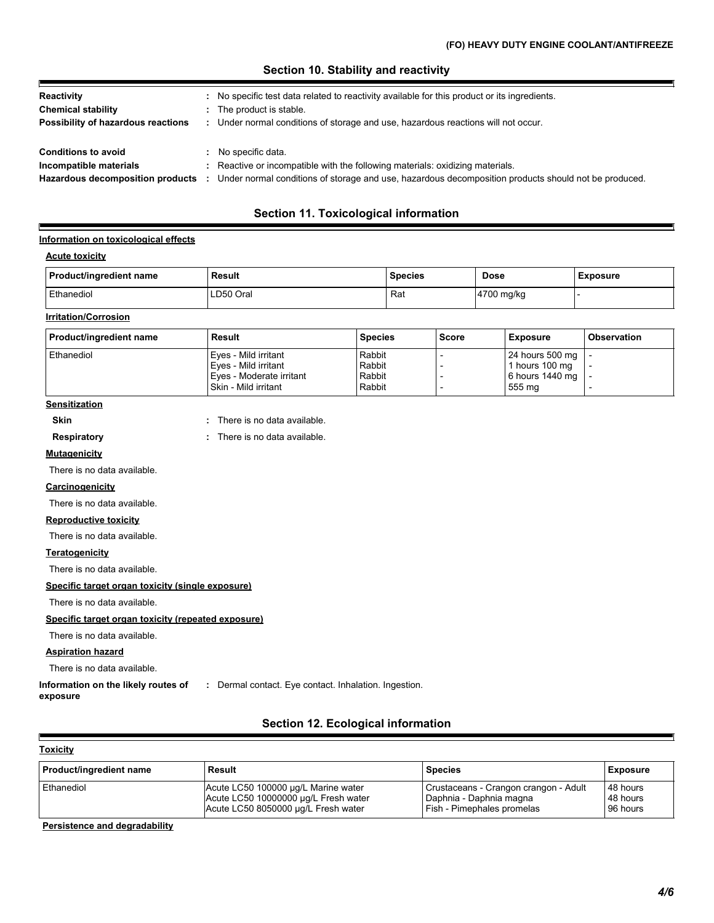## **Section 10. Stability and reactivity**

| Reactivity<br><b>Chemical stability</b><br>Possibility of hazardous reactions            | No specific test data related to reactivity available for this product or its ingredients.<br>The product is stable.<br>Under normal conditions of storage and use, hazardous reactions will not occur.  |
|------------------------------------------------------------------------------------------|----------------------------------------------------------------------------------------------------------------------------------------------------------------------------------------------------------|
| <b>Conditions to avoid</b><br>Incompatible materials<br>Hazardous decomposition products | No specific data.<br>Reactive or incompatible with the following materials: oxidizing materials.<br>Under normal conditions of storage and use, hazardous decomposition products should not be produced. |

# **Section 11. Toxicological information**

#### **Information on toxicological effects**

#### **Acute toxicity**

| Product/ingredient name | Result    | <b>Species</b> | <b>Dose</b> | <b>Exposure</b> |
|-------------------------|-----------|----------------|-------------|-----------------|
| Ethanediol              | ∟D50 Oral | Ra             | 4700 mg/kg  |                 |

#### **Irritation/Corrosion**

| Product/ingredient name | Result                   | <b>Species</b> | <b>Score</b> | Exposure            | l Observation |
|-------------------------|--------------------------|----------------|--------------|---------------------|---------------|
| Ethanediol              | Eves - Mild irritant     | Rabbit         |              | 24 hours 500 mg   - |               |
|                         | l Eves - Mild irritant   | Rabbit         |              | 1 hours 100 mg      |               |
|                         | Eves - Moderate irritant | Rabbit         |              | 6 hours 1440 mg   - |               |
|                         | Skin - Mild irritant     | Rabbit         |              | 555 mg              |               |

# **Sensitization**

**Skin :** There is no data available.

**Respiratory :** There is no data available. There is no data available.

#### **Mutagenicity**

There is no data available.

#### **Carcinogenicity**

There is no data available.

#### **Reproductive toxicity**

There is no data available.

#### **Teratogenicity**

There is no data available.

#### **Specific target organ toxicity (single exposure)**

There is no data available.

## **Specific target organ toxicity (repeated exposure)**

There is no data available.

#### **Aspiration hazard**

There is no data available.

**Information on the likely routes of :** Dermal contact. Eye contact. Inhalation. Ingestion.

# **exposure**

# **Section 12. Ecological information**

| Toxicity |
|----------|
|----------|

H

| Product/ingredient name | Result                               | <b>Species</b>                        | <b>Exposure</b> |
|-------------------------|--------------------------------------|---------------------------------------|-----------------|
| Ethanediol              | Acute LC50 100000 µg/L Marine water  | Crustaceans - Crangon crangon - Adult | 48 hours        |
|                         | Acute LC50 10000000 µg/L Fresh water | Daphnia - Daphnia magna               | 48 hours        |
|                         | Acute LC50 8050000 ug/L Fresh water  | <b>Fish - Pimephales promelas</b>     | 96 hours        |

### **Persistence and degradability**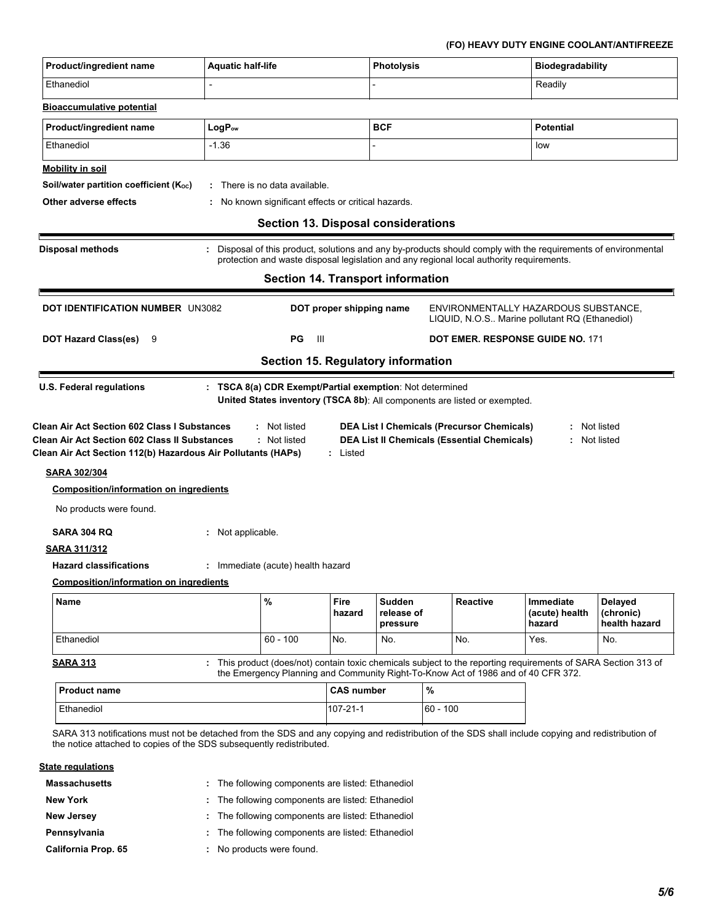# **(FO) HEAVY DUTY ENGINE COOLANT/ANTIFREEZE**

| Product/ingredient name                                                                                                                                                                                                                                | <b>Aquatic half-life</b>                                                                                                                                                                                 |                | <b>Photolysis</b>                |  |                                                                                        | <b>Biodegradability</b>               |                                              |  |
|--------------------------------------------------------------------------------------------------------------------------------------------------------------------------------------------------------------------------------------------------------|----------------------------------------------------------------------------------------------------------------------------------------------------------------------------------------------------------|----------------|----------------------------------|--|----------------------------------------------------------------------------------------|---------------------------------------|----------------------------------------------|--|
| Ethanediol                                                                                                                                                                                                                                             | $\overline{\phantom{0}}$                                                                                                                                                                                 |                |                                  |  | Readily                                                                                |                                       |                                              |  |
| <b>Bioaccumulative potential</b>                                                                                                                                                                                                                       |                                                                                                                                                                                                          |                |                                  |  |                                                                                        |                                       |                                              |  |
| Product/ingredient name                                                                                                                                                                                                                                | LogP <sub>ow</sub>                                                                                                                                                                                       |                | <b>BCF</b>                       |  |                                                                                        | Potential                             |                                              |  |
| Ethanediol                                                                                                                                                                                                                                             | $-1.36$                                                                                                                                                                                                  |                |                                  |  | low                                                                                    |                                       |                                              |  |
| <b>Mobility in soil</b>                                                                                                                                                                                                                                |                                                                                                                                                                                                          |                |                                  |  |                                                                                        |                                       |                                              |  |
| Soil/water partition coefficient (Koc)                                                                                                                                                                                                                 | : There is no data available.                                                                                                                                                                            |                |                                  |  |                                                                                        |                                       |                                              |  |
| Other adverse effects                                                                                                                                                                                                                                  | : No known significant effects or critical hazards.                                                                                                                                                      |                |                                  |  |                                                                                        |                                       |                                              |  |
|                                                                                                                                                                                                                                                        | <b>Section 13. Disposal considerations</b>                                                                                                                                                               |                |                                  |  |                                                                                        |                                       |                                              |  |
| <b>Disposal methods</b>                                                                                                                                                                                                                                | Disposal of this product, solutions and any by-products should comply with the requirements of environmental<br>protection and waste disposal legislation and any regional local authority requirements. |                |                                  |  |                                                                                        |                                       |                                              |  |
|                                                                                                                                                                                                                                                        | <b>Section 14. Transport information</b>                                                                                                                                                                 |                |                                  |  |                                                                                        |                                       |                                              |  |
| <b>DOT IDENTIFICATION NUMBER UN3082</b>                                                                                                                                                                                                                |                                                                                                                                                                                                          |                | DOT proper shipping name         |  | ENVIRONMENTALLY HAZARDOUS SUBSTANCE,<br>LIQUID, N.O.S Marine pollutant RQ (Ethanediol) |                                       |                                              |  |
| <b>DOT Hazard Class(es)</b><br>9                                                                                                                                                                                                                       | PG                                                                                                                                                                                                       | - 111          |                                  |  |                                                                                        | DOT EMER. RESPONSE GUIDE NO. 171      |                                              |  |
| Section 15. Regulatory information                                                                                                                                                                                                                     |                                                                                                                                                                                                          |                |                                  |  |                                                                                        |                                       |                                              |  |
| <b>SARA 302/304</b><br><b>Composition/information on ingredients</b><br>No products were found.<br><b>SARA 304 RQ</b><br><b>SARA 311/312</b><br><b>Hazard classifications</b>                                                                          | : Not applicable.<br>: Immediate (acute) health hazard                                                                                                                                                   |                |                                  |  |                                                                                        |                                       |                                              |  |
| <b>Composition/information on ingredients</b>                                                                                                                                                                                                          |                                                                                                                                                                                                          |                |                                  |  |                                                                                        |                                       |                                              |  |
| <b>Name</b>                                                                                                                                                                                                                                            | %                                                                                                                                                                                                        | Fire<br>hazard | Sudden<br>release of<br>pressure |  | Reactive                                                                               | Immediate<br>(acute) health<br>hazard | <b>Delayed</b><br>(chronic)<br>health hazard |  |
| Ethanediol                                                                                                                                                                                                                                             | $60 - 100$                                                                                                                                                                                               | No.            | No.                              |  | No.                                                                                    | Yes.                                  | No.                                          |  |
| <b>SARA 313</b>                                                                                                                                                                                                                                        | : This product (does/not) contain toxic chemicals subject to the reporting requirements of SARA Section 313 of<br>the Emergency Planning and Community Right-To-Know Act of 1986 and of 40 CFR 372.      |                |                                  |  |                                                                                        |                                       |                                              |  |
| <b>Product name</b>                                                                                                                                                                                                                                    |                                                                                                                                                                                                          |                | %<br><b>CAS number</b>           |  |                                                                                        |                                       |                                              |  |
| Ethanediol                                                                                                                                                                                                                                             |                                                                                                                                                                                                          | $107 - 21 - 1$ | $60 - 100$                       |  |                                                                                        |                                       |                                              |  |
| SARA 313 notifications must not be detached from the SDS and any copying and redistribution of the SDS shall include copying and redistribution of<br>the notice attached to copies of the SDS subsequently redistributed.<br><b>State regulations</b> |                                                                                                                                                                                                          |                |                                  |  |                                                                                        |                                       |                                              |  |
| <b>Massachusetts</b>                                                                                                                                                                                                                                   |                                                                                                                                                                                                          |                |                                  |  |                                                                                        |                                       |                                              |  |
|                                                                                                                                                                                                                                                        | : The following components are listed: Ethanediol                                                                                                                                                        |                |                                  |  |                                                                                        |                                       |                                              |  |

- **New Jersey :** The following components are listed: Ethanediol
- **Pennsylvania :** The following components are listed: Ethanediol
	- No products were found. **:**

**California Prop. 65**